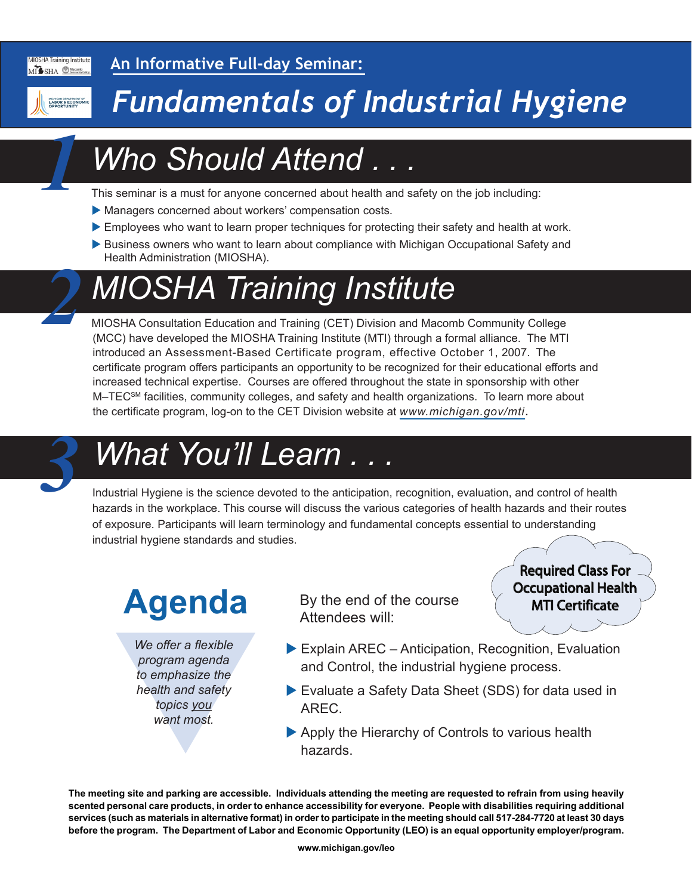

**An Informative Full-day Seminar:**

*1*

*2*

# *Fundamentals of Industrial Hygiene*

# *Who Should Attend . . .*

This seminar is a must for anyone concerned about health and safety on the job including:

- Managers concerned about workers' compensation costs.
- Employees who want to learn proper techniques for protecting their safety and health at work.
- Business owners who want to learn about compliance with Michigan Occupational Safety and Health Administration (MIOSHA).

# *MIOSHA Training Institute*

MIOSHA Consultation Education and Training (CET) Division and Macomb Community College (MCC) have developed the MIOSHA Training Institute (MTI) through a formal alliance. The MTI introduced an Assessment-Based Certificate program, effective October 1, 2007. The certificate program offers participants an opportunity to be recognized for their educational efforts and increased technical expertise. Courses are offered throughout the state in sponsorship with other M–TEC<sup>SM</sup> facilities, community colleges, and safety and health organizations. To learn more about the certificate program, log-on to the CET Division website at *[www.michigan.gov/mti](http://www.michigan.gov/mti)*.



## *What You'll Learn . . . 3*

Industrial Hygiene is the science devoted to the anticipation, recognition, evaluation, and control of health hazards in the workplace. This course will discuss the various categories of health hazards and their routes of exposure. Participants will learn terminology and fundamental concepts essential to understanding industrial hygiene standards and studies.

# **Agenda**

We offer a flexible<br>program agenda<br>to emphasize the<br>health and safety<br>topics you<br>want most. *We offer a flexible program agenda to emphasize the health and safety topics you want most.*

By the end of the course Attendees will:



- $\blacktriangleright$  Explain AREC Anticipation, Recognition, Evaluation and Control, the industrial hygiene process.
- ▶ Evaluate a Safety Data Sheet (SDS) for data used in AREC.
- $\blacktriangleright$  Apply the Hierarchy of Controls to various health hazards.

**The meeting site and parking are accessible. Individuals attending the meeting are requested to refrain from using heavily scented personal care products, in order to enhance accessibility for everyone. People with disabilities requiring additional services (such as materials in alternative format) in order to participate in the meeting should call 517-284-7720 at least 30 days before the program. The Department of Labor and Economic Opportunity (LEO) is an equal opportunity employer/program.**